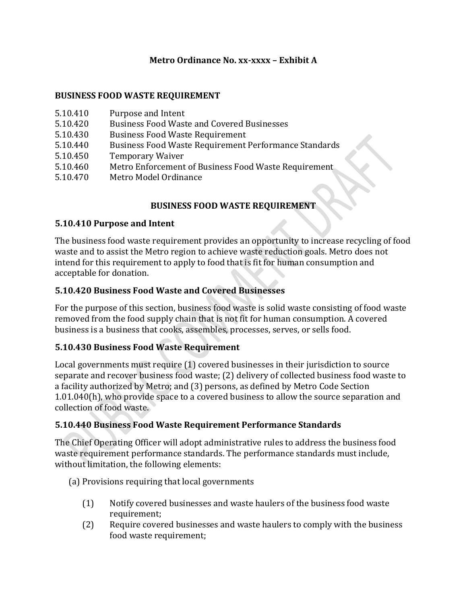### **Metro Ordinance No. xx-xxxx – Exhibit A**

#### **BUSINESS FOOD WASTE REQUIREMENT**

- 5.10.420 Business Food Waste and Covered Businesses
- 5.10.430 Business Food Waste Requirement
- 5.10.440 Business Food Waste Requirement Performance Standards
- 5.10.450 Temporary Waiver
- 5.10.460 Metro Enforcement of Business Food Waste Requirement
- 5.10.470 Metro Model Ordinance

### **BUSINESS FOOD WASTE REQUIREMENT**

#### **5.10.410 Purpose and Intent**

The business food waste requirement provides an opportunity to increase recycling of food waste and to assist the Metro region to achieve waste reduction goals. Metro does not intend for this requirement to apply to food that is fit for human consumption and acceptable for donation.

### **5.10.420 Business Food Waste and Covered Businesses**

For the purpose of this section, business food waste is solid waste consisting of food waste removed from the food supply chain that is not fit for human consumption. A covered business is a business that cooks, assembles, processes, serves, or sells food.

### **5.10.430 Business Food Waste Requirement**

Local governments must require (1) covered businesses in their jurisdiction to source separate and recover business food waste; (2) delivery of collected business food waste to a facility authorized by Metro; and (3) persons, as defined by Metro Code Section 1.01.040(h), who provide space to a covered business to allow the source separation and collection of food waste.

### **5.10.440 Business Food Waste Requirement Performance Standards**

The Chief Operating Officer will adopt administrative rules to address the business food waste requirement performance standards. The performance standards must include, without limitation, the following elements:

- (a) Provisions requiring that local governments
	- (1) Notify covered businesses and waste haulers of the business food waste requirement;
	- (2) Require covered businesses and waste haulers to comply with the business food waste requirement;